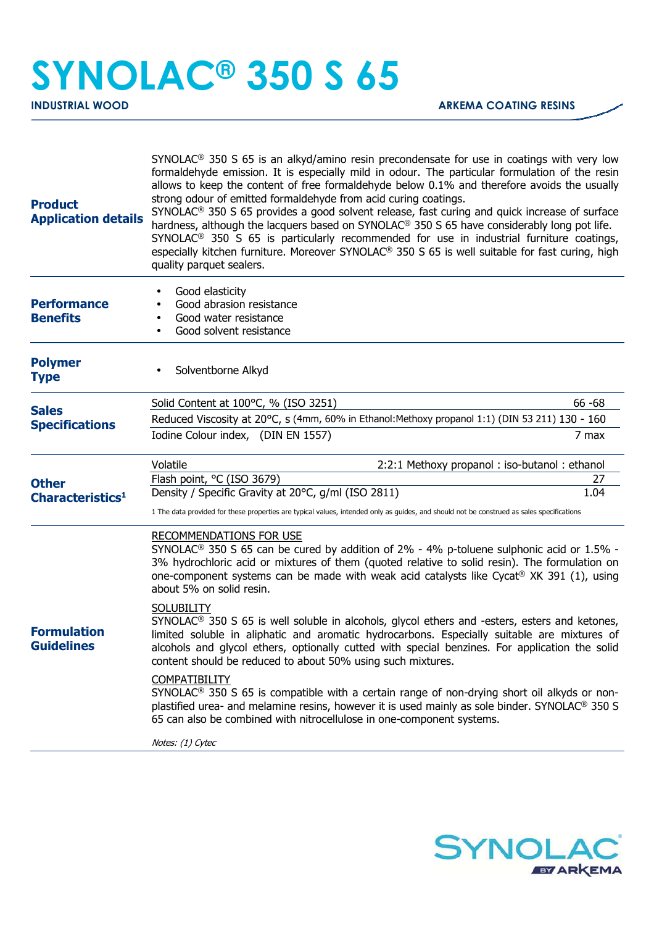## **SYNOLAC® 350 S 65**

| <b>Product</b><br><b>Application details</b> | $SYNOLAC®$ 350 S 65 is an alkyd/amino resin precondensate for use in coatings with very low<br>formaldehyde emission. It is especially mild in odour. The particular formulation of the resin<br>allows to keep the content of free formaldehyde below 0.1% and therefore avoids the usually<br>strong odour of emitted formaldehyde from acid curing coatings.<br>SYNOLAC <sup>®</sup> 350 S 65 provides a good solvent release, fast curing and quick increase of surface<br>hardness, although the lacquers based on SYNOLAC® 350 S 65 have considerably long pot life.<br>SYNOLAC <sup>®</sup> 350 S 65 is particularly recommended for use in industrial furniture coatings,<br>especially kitchen furniture. Moreover SYNOLAC <sup>®</sup> 350 S 65 is well suitable for fast curing, high<br>quality parquet sealers. |
|----------------------------------------------|------------------------------------------------------------------------------------------------------------------------------------------------------------------------------------------------------------------------------------------------------------------------------------------------------------------------------------------------------------------------------------------------------------------------------------------------------------------------------------------------------------------------------------------------------------------------------------------------------------------------------------------------------------------------------------------------------------------------------------------------------------------------------------------------------------------------------|
| <b>Performance</b><br><b>Benefits</b>        | Good elasticity<br>Good abrasion resistance<br>Good water resistance<br>Good solvent resistance                                                                                                                                                                                                                                                                                                                                                                                                                                                                                                                                                                                                                                                                                                                              |
| <b>Polymer</b><br><b>Type</b>                | Solventborne Alkyd                                                                                                                                                                                                                                                                                                                                                                                                                                                                                                                                                                                                                                                                                                                                                                                                           |
| <b>Sales</b><br><b>Specifications</b>        | Solid Content at 100°C, % (ISO 3251)<br>$66 - 68$<br>Reduced Viscosity at 20°C, s (4mm, 60% in Ethanol: Methoxy propanol 1:1) (DIN 53 211) 130 - 160<br>Iodine Colour index, (DIN EN 1557)<br>7 max                                                                                                                                                                                                                                                                                                                                                                                                                                                                                                                                                                                                                          |
| <b>Other</b><br>Characteristics <sup>1</sup> | Volatile<br>2:2:1 Methoxy propanol: iso-butanol: ethanol<br>Flash point, °C (ISO 3679)<br>27<br>Density / Specific Gravity at 20°C, g/ml (ISO 2811)<br>1.04<br>1 The data provided for these properties are typical values, intended only as guides, and should not be construed as sales specifications                                                                                                                                                                                                                                                                                                                                                                                                                                                                                                                     |
| <b>Formulation</b><br><b>Guidelines</b>      | <b>RECOMMENDATIONS FOR USE</b><br>SYNOLAC <sup>®</sup> 350 S 65 can be cured by addition of 2% - 4% p-toluene sulphonic acid or 1.5% -<br>3% hydrochloric acid or mixtures of them (quoted relative to solid resin). The formulation on<br>one-component systems can be made with weak acid catalysts like Cycat <sup>®</sup> XK 391 (1), using<br>about 5% on solid resin.                                                                                                                                                                                                                                                                                                                                                                                                                                                  |
|                                              | <b>SOLUBILITY</b><br>SYNOLAC <sup>®</sup> 350 S 65 is well soluble in alcohols, glycol ethers and -esters, esters and ketones,<br>limited soluble in aliphatic and aromatic hydrocarbons. Especially suitable are mixtures of<br>alcohols and glycol ethers, optionally cutted with special benzines. For application the solid<br>content should be reduced to about 50% using such mixtures.                                                                                                                                                                                                                                                                                                                                                                                                                               |
|                                              | <b>COMPATIBILITY</b><br>$SYNOLAC®$ 350 S 65 is compatible with a certain range of non-drying short oil alkyds or non-<br>plastified urea- and melamine resins, however it is used mainly as sole binder. SYNOLAC® 350 S<br>65 can also be combined with nitrocellulose in one-component systems.                                                                                                                                                                                                                                                                                                                                                                                                                                                                                                                             |
|                                              | Notes: (1) Cytec                                                                                                                                                                                                                                                                                                                                                                                                                                                                                                                                                                                                                                                                                                                                                                                                             |